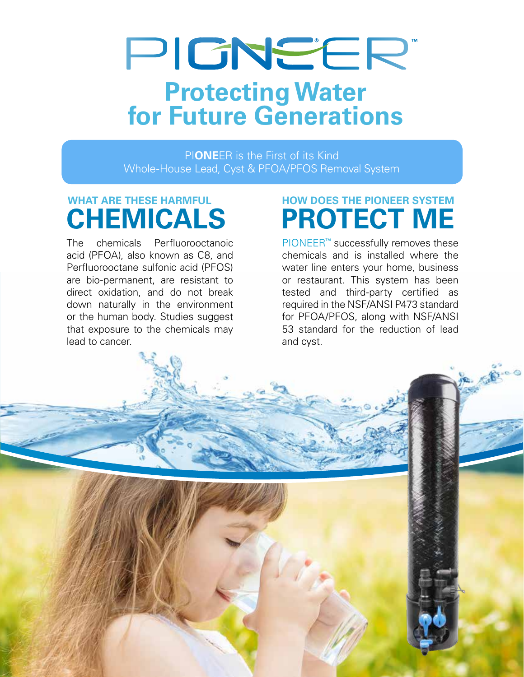# PIGNEER **Protecting Water for Future Generations**

PI**ONE**ER is the First of its Kind Whole-House Lead, Cyst & PFOA/PFOS Removal System

The chemicals Perfuorooctanoic acid (PFOA), also known as C8, and Perfuorooctane sulfonic acid (PFOS) are bio-permanent, are resistant to direct oxidation, and do not break down naturally in the environment or the human body. Studies suggest that exposure to the chemicals may lead to cancer.

#### WHAT ARE THESE HARMFUL HOW DOES THE PIONEER SYSTEM<br> **CHEMICALS** PROTECT ME **PROTECT ME**

PIONEER™ successfully removes these chemicals and is installed where the water line enters your home, business or restaurant. This system has been tested and third-party certifed as required in the NSF/ANSI P473 standard for PFOA/PFOS, along with NSF/ANSI 53 standard for the reduction of lead and cyst.